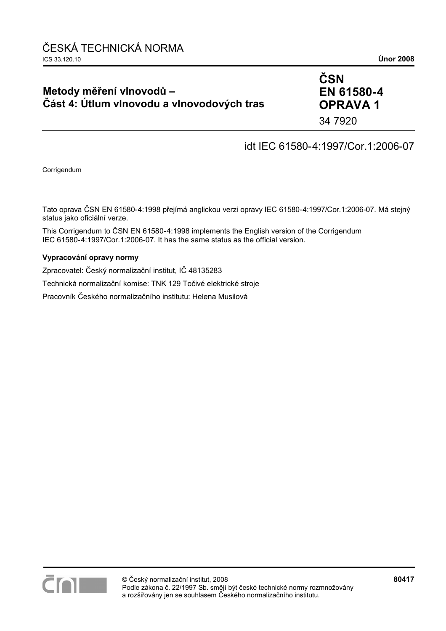# **Metody měření vlnovodů – Část 4: Útlum vlnovodu a vlnovodových tras**

# **ČSN EN 61580-4 OPRAVA 1**

34 7920

# idt IEC 61580-4:1997/Cor.1:2006-07

Corrigendum

Tato oprava ČSN EN 61580-4:1998 přejímá anglickou verzi opravy IEC 61580-4:1997/Cor.1:2006-07. Má stejný status jako oficiální verze.

This Corrigendum to ČSN EN 61580-4:1998 implements the English version of the Corrigendum IEC 61580-4:1997/Cor.1:2006-07. It has the same status as the official version.

## **Vypracování opravy normy**

Zpracovatel: Český normalizační institut, IČ 48135283

Technická normalizační komise: TNK 129 Točivé elektrické stroje

Pracovník Českého normalizačního institutu: Helena Musilová

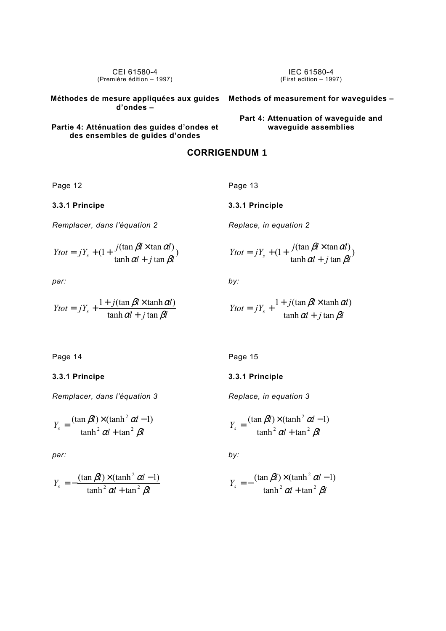CEI 61580-4 (Première édition – 1997) **Méthodes de mesure appliquées aux guides Methods of measurement for waveguides – d'ondes – Partie 4: Atténuation des guides d'ondes et**  IEC 61580-4 (First edition – 1997) **Part 4: Attenuation of waveguide and waveguide assemblies** 

# **CORRIGENDUM 1**

Page 12

**3.3.1 Principe** 

*Remplacer, dans l'équation 2* 

$$
Ytot = jY_s + (1 + \frac{j(\tan \beta l \times \tan \alpha l)}{\tanh \alpha l + j \tan \beta l})
$$

**des ensembles de guides d'ondes** 

*par:* 

$$
Ytot = jY_s + \frac{1 + j(\tan \beta l \times \tanh \alpha l)}{\tanh \alpha l + j \tan \beta l}
$$

Page 13

**3.3.1 Principle** 

*Replace, in equation 2* 

$$
Y\tau t = jY_s + (1 + \frac{j(\tan \beta l \times \tan \alpha l)}{\tanh \alpha l + j \tan \beta l})
$$

*by:* 

$$
Ytot = jY_s + \frac{1 + j(\tan \beta l \times \tanh \alpha l)}{\tanh \alpha l + j \tan \beta l}
$$

Page 14

## **3.3.1 Principe**

*Remplacer, dans l'équation 3* 

$$
Y_s = \frac{(\tan \beta l) \times (\tanh^2 \alpha l - 1)}{\tanh^2 \alpha l + \tan^2 \beta l}
$$

*par:* 

$$
Y_s = -\frac{(\tan \beta l) \times (\tanh^2 \alpha l - 1)}{\tanh^2 \alpha l + \tan^2 \beta l}
$$

Page 15

### **3.3.1 Principle**

*Replace, in equation 3* 

$$
Y_s = \frac{(\tan \beta l) \times (\tanh^2 \alpha l - 1)}{\tanh^2 \alpha l + \tan^2 \beta l}
$$

*by:* 

$$
Y_s = -\frac{(\tan \beta l) \times (\tanh^2 \alpha l - 1)}{\tanh^2 \alpha l + \tan^2 \beta l}
$$

$$
f_{\rm{max}}
$$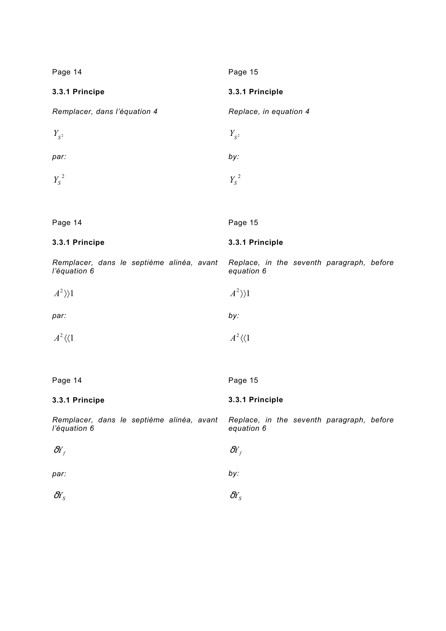| Page 14                                                   | Page 15                                                 |
|-----------------------------------------------------------|---------------------------------------------------------|
| 3.3.1 Principe                                            | 3.3.1 Principle                                         |
| Remplacer, dans l'équation 4                              | Replace, in equation 4                                  |
| $Y_{S^2}$                                                 | $Y_{S^2}$                                               |
| par:                                                      | by:                                                     |
| $Y_s^2$                                                   | $Y_s^2$                                                 |
|                                                           |                                                         |
| Page 14                                                   | Page 15                                                 |
| 3.3.1 Principe                                            | 3.3.1 Principle                                         |
| Remplacer, dans le septième alinéa, avant<br>l'équation 6 | Replace, in the seventh paragraph, before<br>equation 6 |
| $A^2\rangle$ )1                                           | $A^2\rangle$ )1                                         |
| par:                                                      | by:                                                     |
| $A^2 \langle \langle 1$                                   | $A^2\langle\langle 1$                                   |
|                                                           |                                                         |
| Page 14                                                   | Page 15                                                 |
| 3.3.1 Principe                                            | 3.3.1 Principle                                         |
| Remplacer, dans le septième alinéa, avant<br>l'équation 6 | Replace, in the seventh paragraph, before<br>equation 6 |
| $\delta Y_f$                                              | $\delta Y_f$                                            |
| par:                                                      | by:                                                     |
| $\delta Y_{S}$                                            | $\delta Y_{S}$                                          |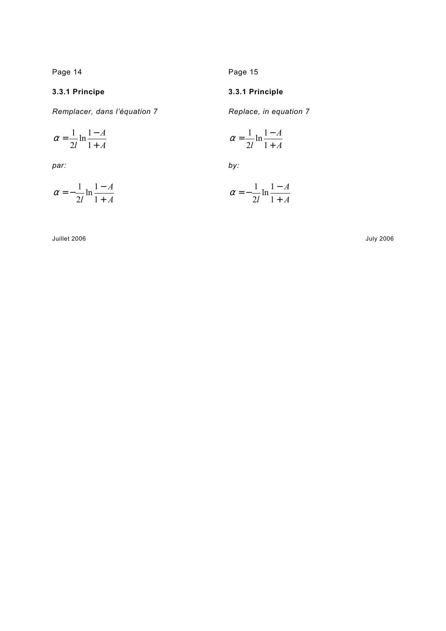Page 14

**3.3.1 Principe** 

*Remplacer, dans l'équation 7* 

**3.3.1 Principle** 

Page 15

*Replace, in equation 7* 

$$
\alpha = \frac{1}{2l} \ln \frac{1-A}{1+A}
$$
\n
$$
\alpha = \frac{1}{2l} \ln \frac{1-A}{1+A}
$$

*par:* 

$$
\alpha = -\frac{1}{2l} \ln \frac{1-A}{1+A}
$$

$$
by:
$$

$$
\alpha = -\frac{1}{2l} \ln \frac{1-A}{1+A}
$$

Juillet 2006

July 2006